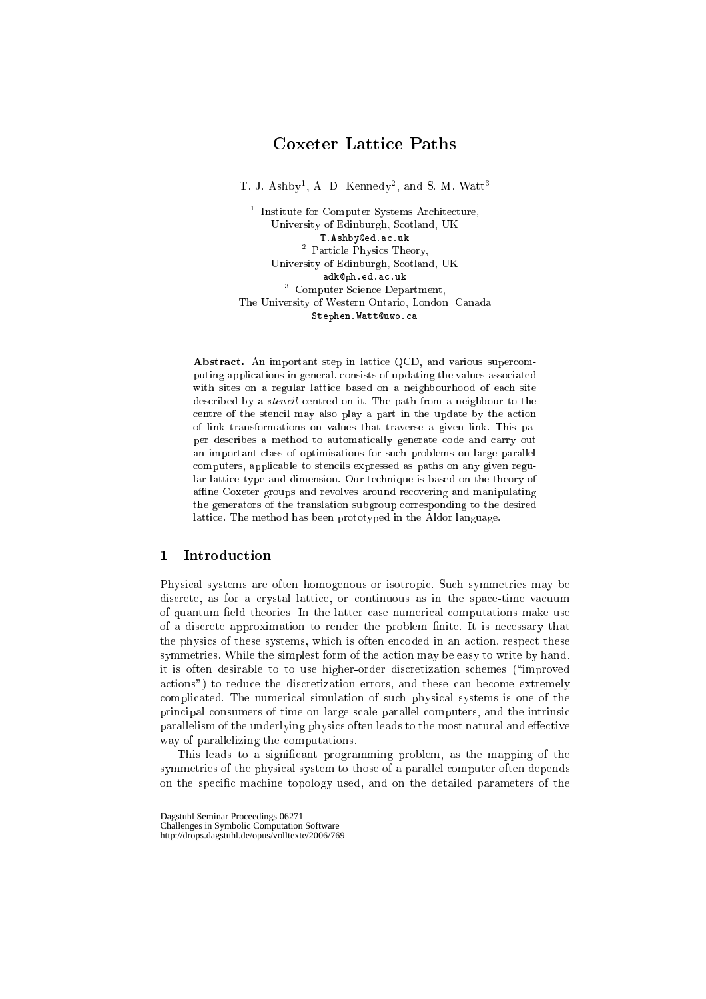# Coxeter Latti
e Paths

1. J. Ashby . A. D. Kennedy . and S. M. Watt-

This intervals to the model of the computer Systems Architecture, University of Edinburgh, S
otland, UK T.Ashbyed.a
.uk - Particle Physics Theory, University of Edinburgh, S
otland, UK adk@ph.ed.ac.uk - Computer Science Department, The University of Western Ontario, London, Canada Stephen.WattQuwo.ca

Abstract. An important step in lattice QCD, and various supercomputing appli
ations in general, onsists of updating the values asso
iated with sites on a regular lattice based on a neighbourhood of each site described by a *stencil* centred on it. The path from a neighbour to the entre of the sten
il may also play a part in the update by the a
tion of link transformations on values that traverse a given link. This paper des
ribes a method to automati
ally generate ode and arry out an important lass of optimisations for su
h problems on large parallel omputers, appli
able to sten
ils expressed as paths on any given regular lattice type and dimension. Our technique is based on the theory of affine Coxeter groups and revolves around recovering and manipulating the generators of the translation subgroup orresponding to the desired latti
e. The method has been prototyped in the Aldor language.

Physi
al systems are often homogenous or isotropi
. Su
h symmetries may be discrete, as for a crystal lattice, or continuous as in the space-time vacuum of quantum field theories. In the latter case numerical computations make use of a discrete approximation to render the problem finite. It is necessary that the physics of these systems, which is often encoded in an action, respect these symmetries. While the simplest form of the action may be easy to write by hand, it is often desirable to to use higher-order discretization schemes ("improved actions") to reduce the discretization errors, and these can become extremely ompli
ated. The numeri
al simulation of su
h physi
al systems is one of the prin
ipal onsumers of time on large-s
ale parallel omputers, and the intrinsi parallelism of the underlying physics often leads to the most natural and effective way of parallelizing the omputations.

This leads to a significant programming problem, as the mapping of the symmetries of the physical system to those of a parallel computer often depends on the specific machine topology used, and on the detailed parameters of the

Dagstuhl Seminar Proceedings 06271 Challenges in Symbolic Computation Software http://drops.dagstuhl.de/opus/volltexte/2006/769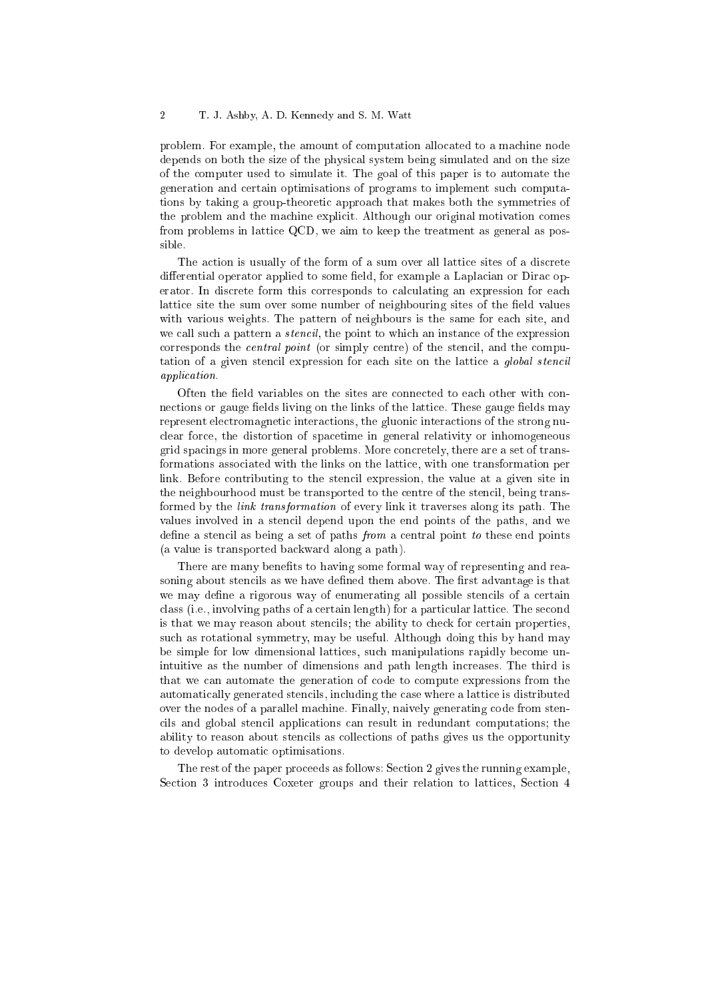problem. For example, the amount of computation allocated to a machine node depends on both the size of the physi
al system being simulated and on the size of the omputer used to simulate it. The goal of this paper is to automate the generation and ertain optimisations of programs to implement su
h omputations by taking a group-theoreti approa
h that makes both the symmetries of the problem and the machine explicit. Although our original motivation comes from problems in latti
e QCD, we aim to keep the treatment as general as possible.

The action is usually of the form of a sum over all lattice sites of a discrete differential operator applied to some field, for example a Laplacian or Dirac operator. In discrete form this corresponds to calculating an expression for each lattice site the sum over some number of neighbouring sites of the field values with various weights. The pattern of neighbours is the same for each site, and we call such a pattern a *stencil*, the point to which an instance of the expression corresponds the *central point* (or simply centre) of the stencil, and the computation of a given stencil expression for each site on the lattice a *global stencil* application.

Often the field variables on the sites are connected to each other with connections or gauge fields living on the links of the lattice. These gauge fields may represent electromagnetic interactions, the gluonic interactions of the strong nulear for
e, the distortion of spa
etime in general relativity or inhomogeneous grid spacings in more general problems. More concretely, there are a set of transformations associated with the links on the lattice, with one transformation per link. Before contributing to the stencil expression, the value at a given site in the neighbourhood must be transported to the centre of the stencil, being transformed by the *link transformation* of every link it traverses along its path. The values involved in a sten
il depend upon the end points of the paths, and we define a stencil as being a set of paths *from* a central point to these end points (a value is transported ba
kward along a path).

There are many benefits to having some formal way of representing and reasoning about stencils as we have defined them above. The first advantage is that we may define a rigorous way of enumerating all possible stencils of a certain class (*i.e., involving paths of a certain length*) for a particular lattice. The second is that we may reason about stencils; the ability to check for certain properties, su
h as rotational symmetry, may be useful. Although doing this by hand may be simple for low dimensional latti
es, su
h manipulations rapidly be
ome unintuitive as the number of dimensions and path length in
reases. The third is that we can automate the generation of code to compute expressions from the automatically generated stencils, including the case where a lattice is distributed over the nodes of a parallel ma
hine. Finally, naively generating ode from sten ils and global sten
il appli
ations an result in redundant omputations; the ability to reason about sten
ils as olle
tions of paths gives us the opportunity to develop automati optimisations.

The rest of the paper proceeds as follows: Section 2 gives the running example, Section 3 introduces Coxeter groups and their relation to lattices, Section 4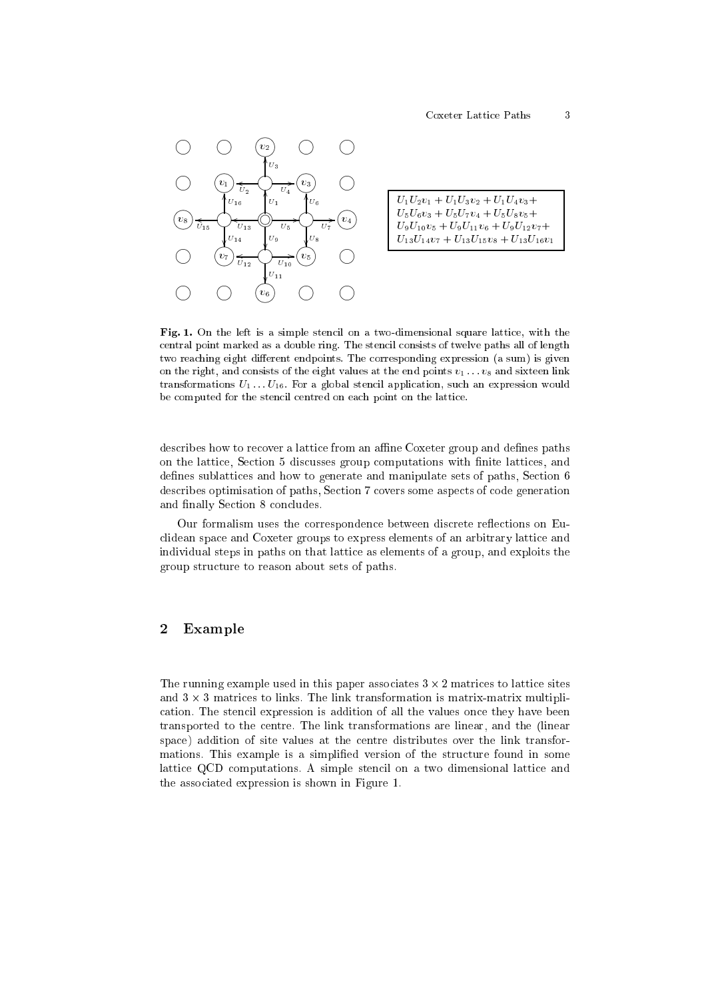$\overline{3}$ 



 $U_1U_2v_1 + U_1U_3v_2 + U_1U_4v_3 +$  $U_5U_6v_3 + U_5U_7v_4 + U_5U_8v_5 +$  $U_9U_{10}v_5 + U_9U_{11}v_6 + U_9U_{12}v_7 +$  $U_{13}U_{14}v_7 + U_{13}U_{15}v_8 + U_{13}U_{16}v_1$ 

Fig. 1. On the left is a simple stencil on a two-dimensional square lattice, with the central point marked as a double ring. The stencil consists of twelve paths all of length two reaching eight different endpoints. The corresponding expression (a sum) is given on the right, and consists of the eight values at the end points  $v_1 \ldots v_8$  and sixteen link transformations  $U_1 \ldots U_{16}$ . For a global stencil application, such an expression would be computed for the stencil centred on each point on the lattice.

describes how to recover a lattice from an affine Coxeter group and defines paths on the latti
e, Se
tion 5 dis
usses group omputations with nite latti
es, and defines sublattices and how to generate and manipulate sets of paths, Section 6 describes optimisation of paths, Section 7 covers some aspects of code generation and finally Section 8 concludes.

Our formalism uses the correspondence between discrete reflections on Euclidean space and Coxeter groups to express elements of an arbitrary lattice and individual steps in paths on that latti
e as elements of a group, and exploits the group stru
ture to reason about sets of paths.

## <sup>2</sup> Example

The running example used in this paper asso
iates 3 - 2 matri
es to latti
e sites and 3 - 3 matrix-matrix-matrix-matrix-matrix-matrix-matrix-matrix-matrix-matrix-matrix-matrix-matrix-matrix-ma ation. The sten
il expression is addition of all the values on
e they have been transported to the entre. The link transformations are linear, and the (linear spa
e) addition of site values at the entre distributes over the link transformations. This example is a simplified version of the structure found in some lattice QCD computations. A simple stencil on a two dimensional lattice and the asso
iated expression is shown in Figure 1.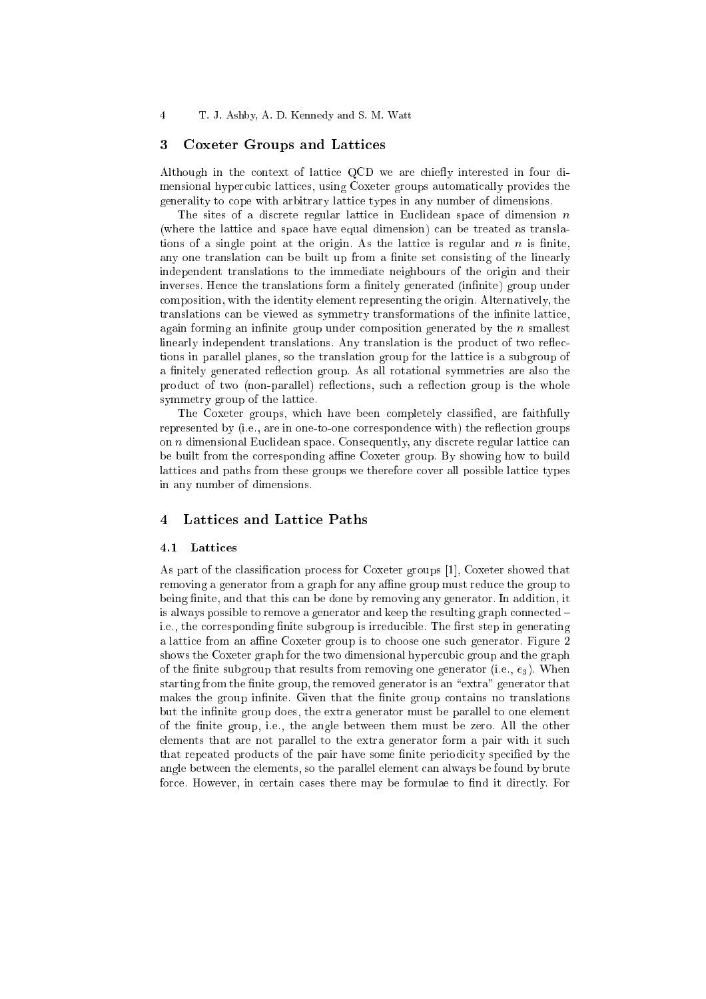4 T. J. Ashby, A. D. Kennedy and S. M. Watt

# <sup>3</sup> Coxeter Groups and Latti
es

Although in the context of lattice QCD we are chiefly interested in four dimensional hypercubic lattices, using Coxeter groups automatically provides the generality to ope with arbitrary latti
e types in any number of dimensions.

The sites of a discrete regular lattice in Euclidean space of dimension  $n$ (where the latti
e and spa
e have equal dimension) an be treated as translations of a single point at the origin. As the lattice is regular and  $n$  is finite, any one translation can be built up from a finite set consisting of the linearly independent translations to the immediate neighbours of the origin and their inverses. Hence the translations form a finitely generated (infinite) group under omposition, with the identity element representing the origin. Alternatively, the translations can be viewed as symmetry transformations of the infinite lattice, again forming an infinite group under composition generated by the  $n$  smallest linearly independent translations. Any translation is the product of two reflections in parallel planes, so the translation group for the latti
e is a subgroup of a finitely generated reflection group. As all rotational symmetries are also the product of two (non-parallel) reflections, such a reflection group is the whole symmetry group of the lattice.

The Coxeter groups, which have been completely classified, are faithfully represented by (i.e., are in one-to-one correspondence with) the reflection groups on *n* dimensional Euclidean space. Consequently, any discrete regular lattice can be built from the corresponding affine Coxeter group. By showing how to build lattices and paths from these groups we therefore cover all possible lattice types in any number of dimensions.

# <sup>4</sup> Latti
es and Latti
e Paths

#### 4.1Latti
es

As part of the classification process for Coxeter groups [1], Coxeter showed that removing a generator from a graph for any affine group must reduce the group to being finite, and that this can be done by removing any generator. In addition, it is always possible to remove a generator and keep the resulting graph connected – i.e., the corresponding finite subgroup is irreducible. The first step in generating a lattice from an affine Coxeter group is to choose one such generator. Figure 2 shows the Coxeter graph for the two dimensional hypercubic group and the graph of the finite subgroup that results from removing one generator (i.e.,  $e_3$ ). When starting from the finite group, the removed generator is an "extra" generator that makes the group infinite. Given that the finite group contains no translations but the infinite group does, the extra generator must be parallel to one element of the finite group, i.e., the angle between them must be zero. All the other elements that are not parallel to the extra generator form a pair with it su
h that repeated products of the pair have some finite periodicity specified by the angle between the elements, so the parallel element an always be found by brute force. However, in certain cases there may be formulae to find it directly. For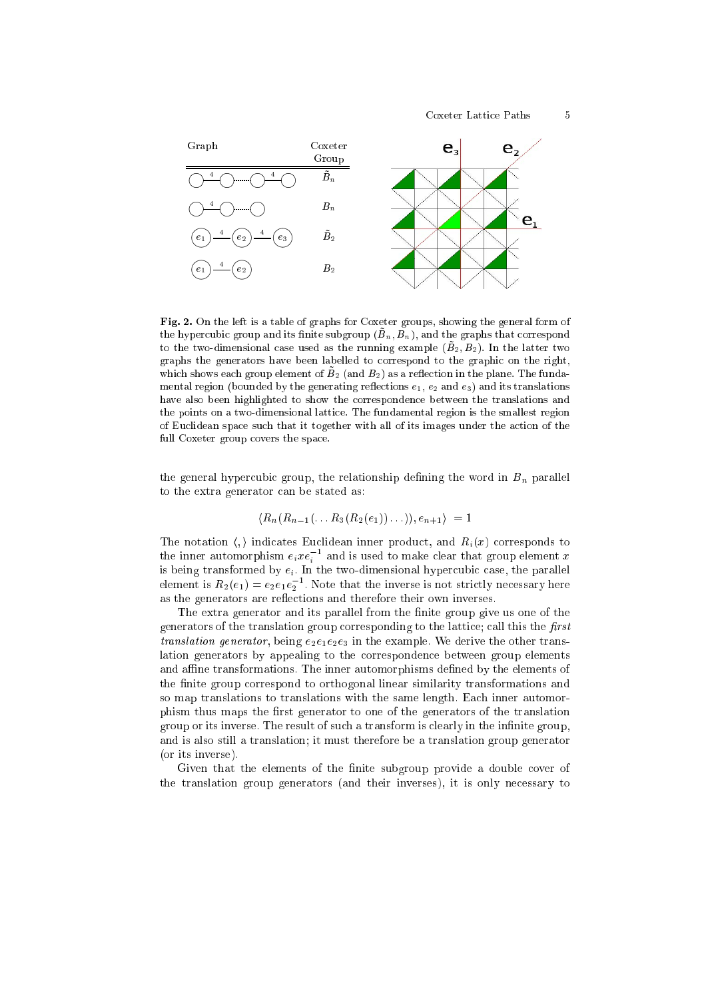5



Fig. 2. On the left is a table of graphs for Coxeter groups, showing the general form of the hypercubic group and its milite subgroup  $(D_n, D_n)$ , and the graphs that correspond to the two-dimensional case used as the running example  $(D_2, D_2)$ . In the latter two graphs the generators have been labelled to orrespond to the graphi on the right, which shows each group element or  $D_2$  (and  $D_2$ ) as a renection in the plane. The fundamental region (bounded by the generating reflections  $e_1, e_2$  and  $e_3$ ) and its translations have also been highlighted to show the orresponden
e between the translations and the points on a two-dimensional latti
e. The fundamental region is the smallest region of Eu
lidean spa
e su
h that it together with all of its images under the a
tion of the full Coxeter group covers the space.

the general hypercubic group, the relationship defining the word in  $B_n$  parallel to the extra generator an be stated as:

$$
\langle R_n(R_{n-1}(\ldots R_3(R_2(e_1))\ldots)), e_{n+1}\rangle = 1
$$

the inner automorphism  $e_i x e_i^{-1}$  and is used to make clear that group element x element is  $R_2(e_1) = e_2e_1e_2^{-1}$ . Note that the inverse is not strictly necessary here as the generators are reflections and therefore their own inverses.

The extra generator and its parallel from the finite group give us one of the generators of the translation group corresponding to the lattice; call this the first translation generator, being e2e1e2e3 in the example. We derive the other translation generators by appealing to the orresponden
e between group elements and affine transformations. The inner automorphisms defined by the elements of the finite group correspond to orthogonal linear similarity transformations and so map translations to translations with the same length. Each inner automorphism thus maps the first generator to one of the generators of the translation group or its inverse. The result of such a transform is clearly in the infinite group, and is also still a translation; it must therefore be a translation group generator (or its inverse).

Given that the elements of the finite subgroup provide a double cover of the translation group generators (and their inverses), it is only ne
essary to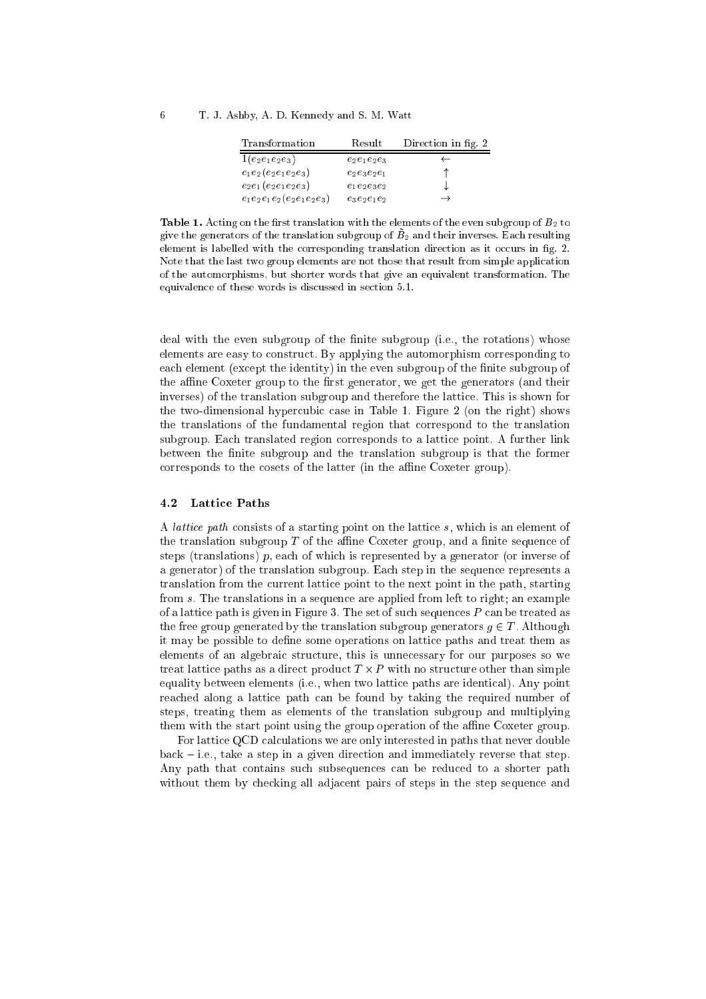| Transformation               | Result         | Direction in fig. 2 |
|------------------------------|----------------|---------------------|
| $1(e_2e_1e_2e_3)$            | $e_2e_1e_2e_3$ | —                   |
| $e_1e_2(e_2e_1e_2e_3)$       | $e_2e_3e_2e_1$ |                     |
| $e_2e_1(e_2e_1e_2e_3)$       | $e_1e_2e_3e_2$ |                     |
| $e_1e_2e_1e_2(e_2e_1e_2e_3)$ | $e_3e_2e_1e_2$ |                     |

**Table 1.** Acting on the first translation with the elements of the even subgroup of  $B_2$  to give the generators of the translation subgroup of  $D_2$  and their inverses. Each resulting element is labelled with the corresponding translation direction as it occurs in fig. 2. Note that the last two group elements are not those that result from simple application of the automorphisms, but shorter words that give an equivalent transformation. The equivalence of these words is discussed in section 5.1.

deal with the even subgroup of the finite subgroup (i.e., the rotations) whose elements are easy to construct. By applying the automorphism corresponding to each element (except the identity) in the even subgroup of the finite subgroup of the affine Coxeter group to the first generator, we get the generators (and their inverses) of the translation subgroup and therefore the latti
e. This is shown for the two-dimensional hypercubic case in Table 1. Figure 2 (on the right) shows the translations of the fundamental region that orrespond to the translation subgroup. Each translated region corresponds to a lattice point. A further link between the finite subgroup and the translation subgroup is that the former corresponds to the cosets of the latter (in the affine Coxeter group).

A *lattice* path consists of a starting point on the lattice  $s$ , which is an element of the translation subgroup  $T$  of the affine Coxeter group, and a finite sequence of steps (translations)  $p$ , each of which is represented by a generator (or inverse of a generator) of the translation subgroup. Each step in the sequence represents a translation from the urrent latti
e point to the next point in the path, starting from s. The translations in a sequence are applied from left to right; an example of a lattice path is given in Figure 3. The set of such sequences  $P$  can be treated as the free group generated by the translation subgroup generators  $g \in T$ . Although it may be possible to define some operations on lattice paths and treat them as elements of an algebraic structure, this is unnecessary for our purposes so we treat latti
e paths as a dire
t produ
t <sup>T</sup> -P with no stru
ture other than simple equality between elements (i.e., when two lattice paths are identical). Any point rea
hed along a latti
e path an be found by taking the required number of steps, treating them as elements of the translation subgroup and multiplying them with the start point using the group operation of the affine Coxeter group.

For lattice QCD calculations we are only interested in paths that never double back – i.e., take a step in a given direction and immediately reverse that step. Any path that ontains su
h subsequen
es an be redu
ed to a shorter path without them by checking all adjacent pairs of steps in the step sequence and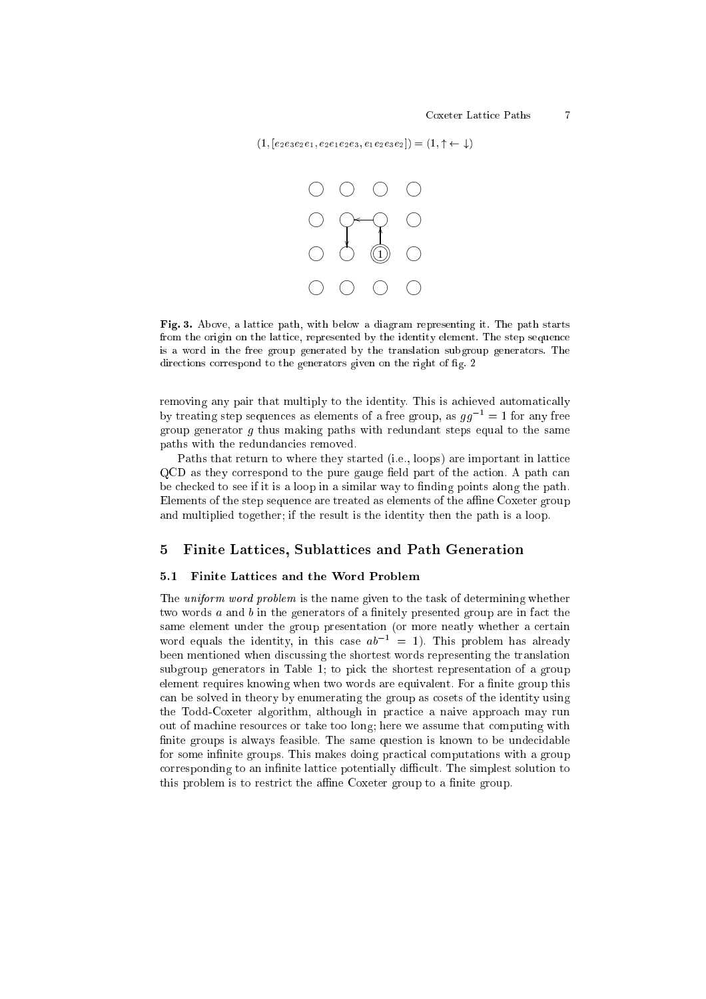$\overline{7}$ 



 $(1, [e_2e_3e_2e_1, e_2e_1e_2e_3, e_1e_2e_3e_2]) = (1, \uparrow \leftarrow \downarrow)$ 

Fig. 3. Above, a latti
e path, with below a diagram representing it. The path starts from the origin on the lattice, represented by the identity element. The step sequence is a word in the free group generated by the translation subgroup generators. The directions correspond to the generators given on the right of fig. 2

removing any pair that multiply to the identity. This is achieved automatically by treating step sequences as elements of a free group, as  $gg^{-1} = 1$  for any free group generator  $g$  thus making paths with redundant steps equal to the same paths with the redundan
ies removed.

Paths that return to where they started (i.e., loops) are important in lattice  $QCD$  as they correspond to the pure gauge field part of the action. A path can be checked to see if it is a loop in a similar way to finding points along the path. Elements of the step sequence are treated as elements of the affine Coxeter group and multiplied together; if the result is the identity then the path is a loop.

### $\overline{5}$ Finite Lattices, Sublattices and Path Generation

The *uniform word problem* is the name given to the task of determining whether two words  $a$  and  $b$  in the generators of a finitely presented group are in fact the same element under the group presentation (or more neatly whether a certain word equals the identity, in this case  $ab^{-1} = 1$ ). This problem has already been mentioned when discussing the shortest words representing the translation subgroup generators in Table 1; to pi
k the shortest representation of a group element requires knowing when two words are equivalent. For a finite group this an be solved in theory by enumerating the group as osets of the identity using the Todd-Coxeter algorithm, although in pra
ti
e a naive approa
h may run out of machine resources or take too long; here we assume that computing with finite groups is always feasible. The same question is known to be undecidable for some infinite groups. This makes doing practical computations with a group corresponding to an infinite lattice potentially difficult. The simplest solution to this problem is to restrict the affine Coxeter group to a finite group.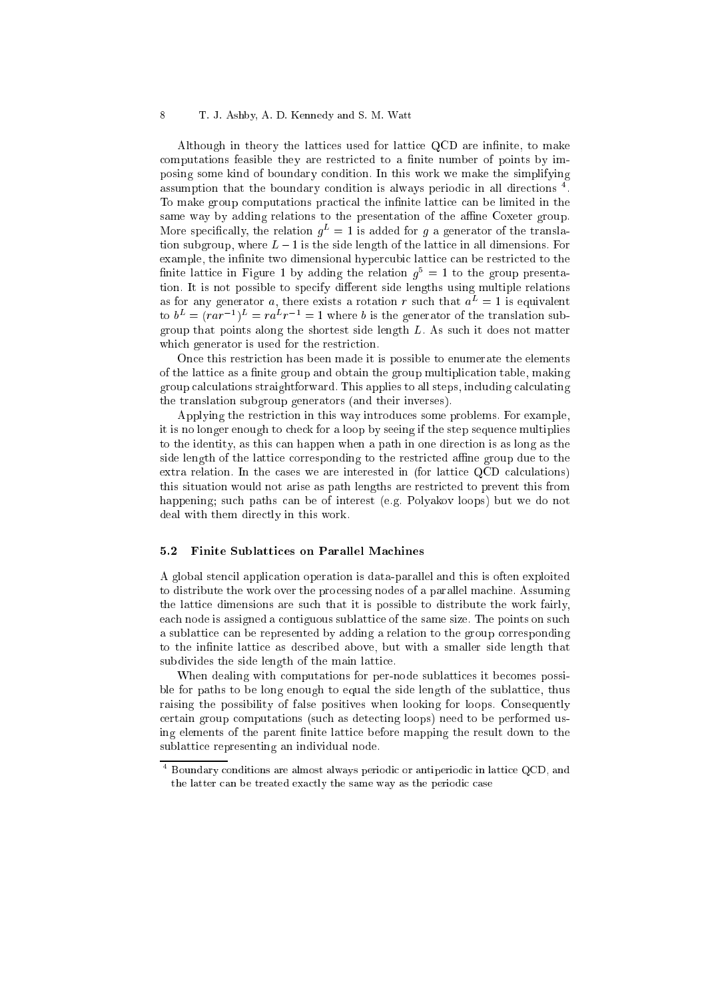Although in theory the lattices used for lattice QCD are infinite, to make computations feasible they are restricted to a finite number of points by imposing some kind of boundary ondition. In this work we make the simplifying assumption that the boundary condition is always periodic in all directions  $\cdot$ . To make group computations practical the infinite lattice can be limited in the same way by adding relations to the presentation of the affine Coxeter group. More specifically, the relation  $g<sup>L</sup> = 1$  is added for g a generator of the translation subgroup, where  $L-1$  is the side length of the lattice in all dimensions. For example, the infinite two dimensional hypercubic lattice can be restricted to the nnite lattice in Figure 1 by adding the relation  $g^{\perp} = 1$  to the group presentation. It is not possible to specify different side lengths using multiple relations as for any generator a, there exists a rotation r such that  $a^L = 1$  is equivalent to  $v^2 = (r a r^{-1})^2 = r a^2 r^{-1} = 1$  where v is the generator of the translation subgroup that points along the shortest side length  $L$ . As such it does not matter which generator is used for the restriction.

On
e this restri
tion has been made it is possible to enumerate the elements of the lattice as a finite group and obtain the group multiplication table, making group calculations straightforward. This applies to all steps, including calculating the translation subgroup generators (and their inverses).

Applying the restri
tion in this way introdu
es some problems. For example, it is no longer enough to he
k for a loop by seeing if the step sequen
e multiplies to the identity, as this an happen when a path in one dire
tion is as long as the side length of the latti
e orresponding to the restri
ted aÆne group due to the extra relation. In the cases we are interested in (for lattice QCD calculations) this situation would not arise as path lengths are restricted to prevent this from happening; such paths can be of interest (e.g. Polyakov loops) but we do not deal with them directly in this work.

#### 5.2Finite Sublatti
es on Parallel Ma
hines

A global sten
il appli
ation operation is data-parallel and this is often exploited to distribute the work over the processing nodes of a parallel machine. Assuming the latti
e dimensions are su
h that it is possible to distribute the work fairly, each node is assigned a contiguous sublattice of the same size. The points on such a sublatti
e an be represented by adding a relation to the group orresponding to the infinite lattice as described above, but with a smaller side length that subdivides the side length of the main latti
e.

When dealing with computations for per-node sublattices it becomes possible for paths to be long enough to equal the side length of the sublattice, thus raising the possibility of false positives when looking for loops. Consequently ertain group omputations (su
h as dete
ting loops) need to be performed using elements of the parent finite lattice before mapping the result down to the sublatti
e representing an individual node.

8

 $\, \cdot \,$  Boundary conditions are almost always periodic or antiperiodic in lattice QCD, and the latter can be treated exactly the same way as the periodic case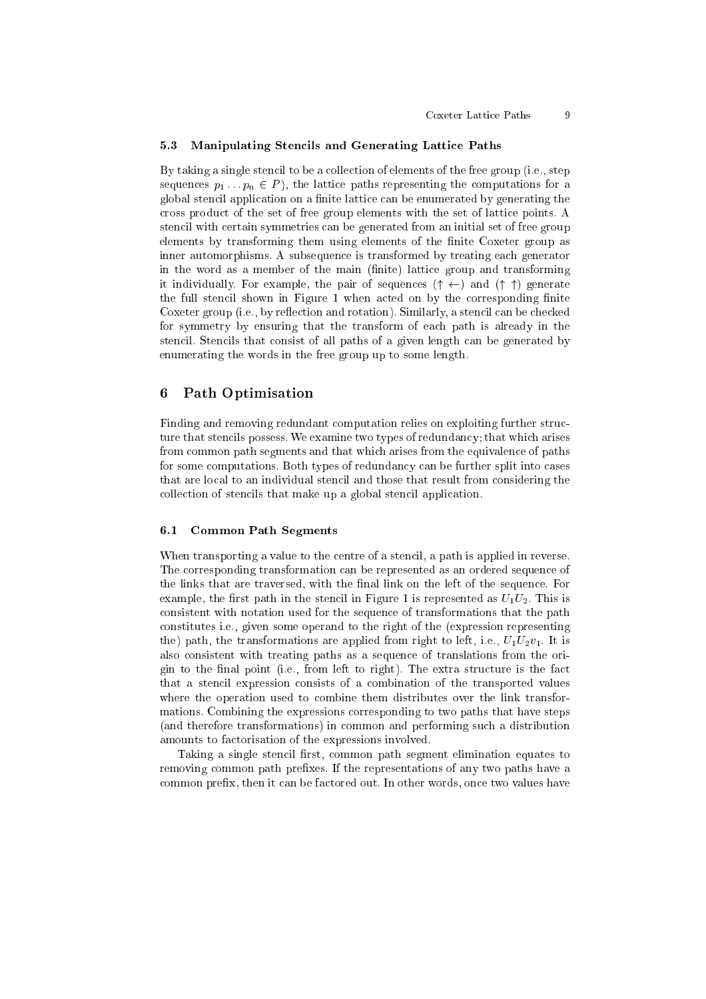#### 5.3Manipulating Stencils and Generating Lattice Paths

By taking a single stencil to be a collection of elements of the free group (i.e., step sequences  $p_1 \ldots p_n \in P$ , the lattice paths representing the computations for a global stencil application on a finite lattice can be enumerated by generating the ross produ
t of the set of free group elements with the set of latti
e points. A sten
il with ertain symmetries an be generated from an initial set of free group elements by transforming them using elements of the finite Coxeter group as inner automorphisms. A subsequen
e is transformed by treating ea
h generator in the word as a member of the main (finite) lattice group and transforming it individually. For example, the pair of sequences  $(\uparrow \leftarrow)$  and  $(\uparrow \uparrow)$  generate the full stencil shown in Figure 1 when acted on by the corresponding finite Coxeter group (i.e., by reflection and rotation). Similarly, a stencil can be checked for symmetry by ensuring that the transform of each path is already in the stencil. Stencils that consist of all paths of a given length can be generated by enumerating the words in the free group up to some length.

# <sup>6</sup> Path Optimisation

Finding and removing redundant omputation relies on exploiting further stru
 ture that stencils possess. We examine two types of redundancy; that which arises from ommon path segments and that whi
h arises from the equivalen
e of paths for some computations. Both types of redundancy can be further split into cases that are local to an individual stencil and those that result from considering the collection of stencils that make up a global stencil application.

#### 6.1Common Path Segments

When transporting a value to the centre of a stencil, a path is applied in reverse. The corresponding transformation can be represented as an ordered sequence of the links that are traversed, with the final link on the left of the sequence. For example, the first path in the stencil in Figure 1 is represented as  $U_1U_2$ . This is onsistent with notation used for the sequen
e of transformations that the path onstitutes i.e., given some operand to the right of the (expression representing the) path, the transformations are applied from right to left, i.e.,  $U_1U_2v_1$ . It is also onsistent with treating paths as a sequen
e of translations from the origin to the final point (i.e., from left to right). The extra structure is the fact that a sten
il expression onsists of a ombination of the transported values where the operation used to combine them distributes over the link transformations. Combining the expressions orresponding to two paths that have steps (and therefore transformations) in ommon and performing su
h a distribution amounts to fa
torisation of the expressions involved.

Taking a single stencil first, common path segment elimination equates to removing common path prefixes. If the representations of any two paths have a common prefix, then it can be factored out. In other words, once two values have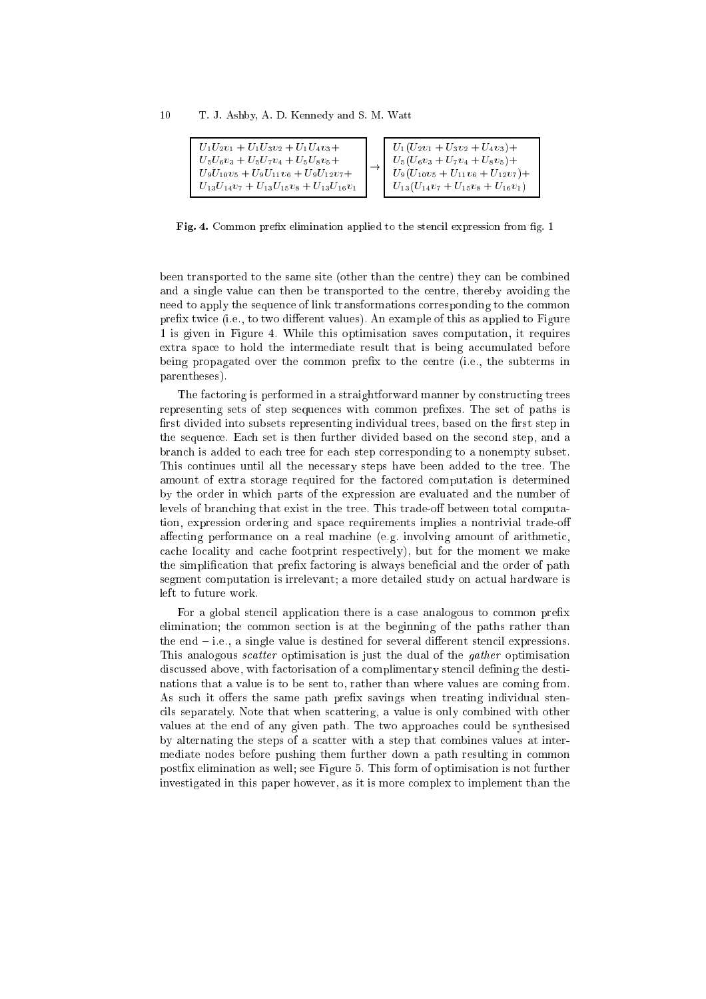$1<sub>0</sub>$ 

|  | $U_1U_2v_1 + U_1U_3v_2 + U_1U_4v_3 +$<br>$U_5U_6v_3+U_5U_7v_4+U_5U_8v_5+$<br>$U_9U_{10}v_5+U_9U_{11}v_6+U_9U_{12}v_7+$<br>$U_{13}U_{14}v_7+U_{13}U_{15}v_8+U_{13}U_{16}v_1$ |  | $U_1 (U_2 v_1 + U_3 v_2 + U_4 v_3) +$<br>$U_5 (U_6 v_3 + U_7 v_4 + U_8 v_5) +$<br>$U_9 (U_{10} v_5 + U_{11} v_6 + U_{12} v_7) +$<br>$U_{13} (U_{14} v_7 + U_{15} v_8 + U_{16} v_1)$ |
|--|-----------------------------------------------------------------------------------------------------------------------------------------------------------------------------|--|-------------------------------------------------------------------------------------------------------------------------------------------------------------------------------------|
|--|-----------------------------------------------------------------------------------------------------------------------------------------------------------------------------|--|-------------------------------------------------------------------------------------------------------------------------------------------------------------------------------------|

Fig. 4. Common prefix elimination applied to the stencil expression from fig. 1

been transported to the same site (other than the entre) they an be ombined and a single value can then be transported to the centre, thereby avoiding the need to apply the sequence of link transformations corresponding to the common prefix twice (i.e., to two different values). An example of this as applied to Figure 1 is given in Figure 4. While this optimisation saves omputation, it requires extra space to hold the intermediate result that is being accumulated before being propagated over the common prefix to the centre (i.e., the subterms in parentheses).

The factoring is performed in a straightforward manner by constructing trees representing sets of step sequences with common prefixes. The set of paths is first divided into subsets representing individual trees, based on the first step in the sequence. Each set is then further divided based on the second step, and a bran
h is added to ea
h tree for ea
h step orresponding to a nonempty subset. This ontinues until all the ne
essary steps have been added to the tree. The amount of extra storage required for the fa
tored omputation is determined by the order in whi
h parts of the expression are evaluated and the number of levels of branching that exist in the tree. This trade-off between total computation, expression ordering and spa
e requirements implies a nontrivial trade-o affecting performance on a real machine (e.g. involving amount of arithmetic, a
he lo
ality and a
he footprint respe
tively), but for the moment we make the simplification that prefix factoring is always beneficial and the order of path segment computation is irrelevant; a more detailed study on actual hardware is left to future work.

For a global stencil application there is a case analogous to common prefix elimination; the ommon se
tion is at the beginning of the paths rather than the end  $-$  i.e., a single value is destined for several different stencil expressions. This analogous *scatter* optimisation is just the dual of the *gather* optimisation discussed above, with factorisation of a complimentary stencil defining the destinations that a value is to be sent to, rather than where values are oming from. As such it offers the same path prefix savings when treating individual stencils separately. Note that when scattering, a value is only combined with other values at the end of any given path. The two approaches could be synthesised by alternating the steps of a scatter with a step that combines values at intermediate nodes before pushing them further down a path resulting in ommon postx elimination as well; see Figure 5. This form of optimisation is not further investigated in this paper however, as it is more complex to implement than the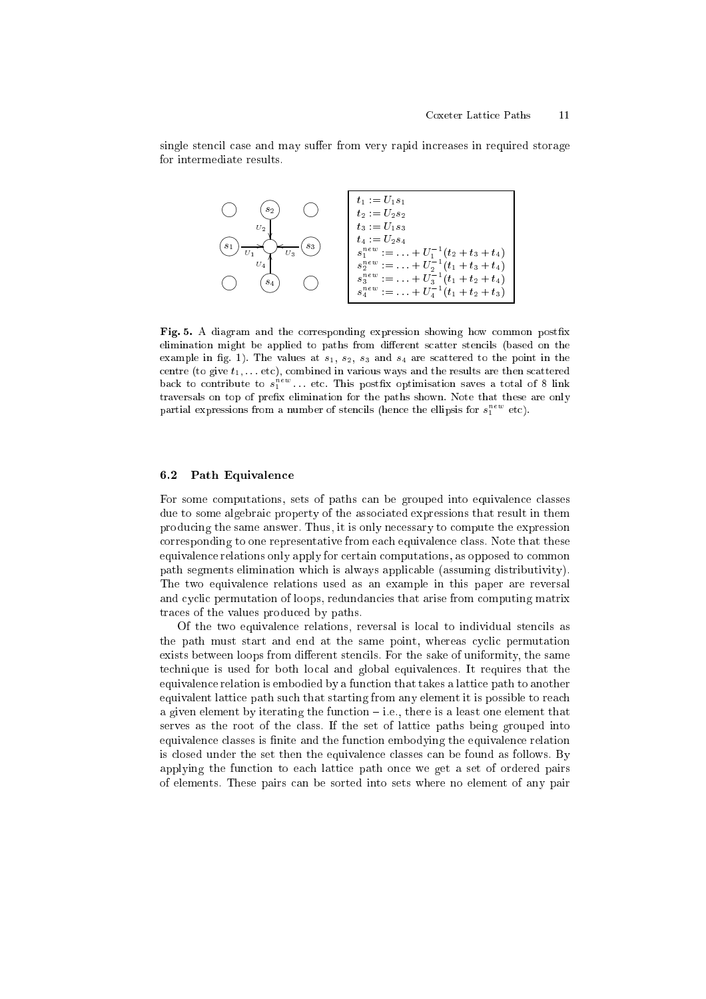single stencil case and may suffer from very rapid increases in required storage for intermediate results.



Fig. 5. A diagram and the corresponding expression showing how common postfix elimination might be applied to paths from different scatter stencils (based on the example in fig. 1). The values at  $s_1$ ,  $s_2$ ,  $s_3$  and  $s_4$  are scattered to the point in the centre (to give  $t_1, \ldots$  etc), combined in various ways and the results are then scattered back to contribute to  $s_1^{++}$  . . etc. This postnx optimisation saves a total of 8 link traversals on top of prefix elimination for the paths shown. Note that these are only partial expressions from a number of stencils (hence the ellipsis for  $s_1^{++}$  etc).

#### 6.2Path Equivalen
e

For some computations, sets of paths can be grouped into equivalence classes due to some algebraic property of the associated expressions that result in them producing the same answer. Thus, it is only necessary to compute the expression corresponding to one representative from each equivalence class. Note that these equivalen
e relations only apply for ertain omputations, as opposed to ommon path segments elimination whi
h is always appli
able (assuming distributivity). The two equivalen
e relations used as an example in this paper are reversal and cyclic permutation of loops, redundancies that arise from computing matrix tra
es of the values produ
ed by paths.

Of the two equivalence relations, reversal is local to individual stencils as the path must start and end at the same point, whereas cyclic permutation exists between loops from different stencils. For the sake of uniformity, the same te
hnique is used for both lo
al and global equivalen
es. It requires that the equivalence relation is embodied by a function that takes a lattice path to another equivalent lattice path such that starting from any element it is possible to reach a given element by iterating the function  $-i.e.,$  there is a least one element that serves as the root of the class. If the set of lattice paths being grouped into equivalence classes is finite and the function embodying the equivalence relation is closed under the set then the equivalence classes can be found as follows. By applying the fun
tion to ea
h latti
e path on
e we get a set of ordered pairs of elements. These pairs an be sorted into sets where no element of any pair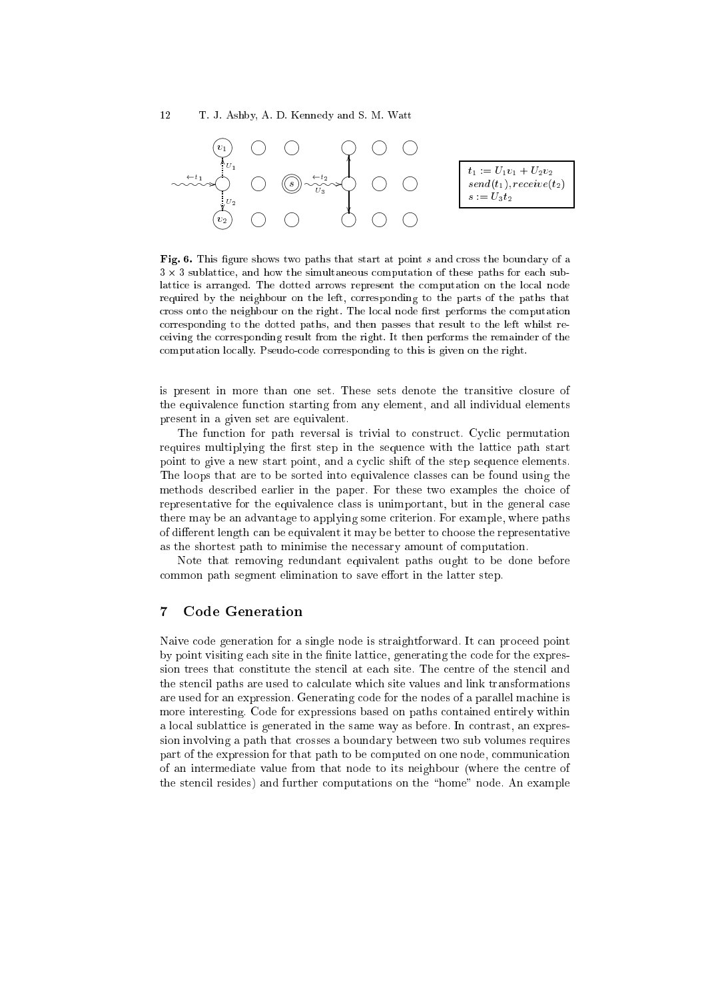

Fig. 6. This figure shows two paths that start at point  $s$  and cross the boundary of a 3 - 3 sublatti
e, and how the simultaneous omputation of these paths for ea
h sublattice is arranged. The dotted arrows represent the computation on the local node required by the neighbour on the left, orresponding to the parts of the paths that cross onto the neighbour on the right. The local node first performs the computation orresponding to the dotted paths, and then passes that result to the left whilst re eiving the orresponding result from the right. It then performs the remainder of the omputation lo
ally. Pseudoode orresponding to this is given on the right.

is present in more than one set. These sets denote the transitive losure of the equivalen
e fun
tion starting from any element, and all individual elements present in a given set are equivalent.

The function for path reversal is trivial to construct. Cyclic permutation requires multiplying the first step in the sequence with the lattice path start point to give a new start point, and a cyclic shift of the step sequence elements. The loops that are to be sorted into equivalence classes can be found using the methods des
ribed earlier in the paper. For these two examples the hoi
e of representative for the equivalence class is unimportant, but in the general case there may be an advantage to applying some criterion. For example, where paths of different length can be equivalent it may be better to choose the representative as the shortest path to minimise the ne
essary amount of omputation.

Note that removing redundant equivalent paths ought to be done before common path segment elimination to save effort in the latter step.

# <sup>7</sup> Code Generation

Naive code generation for a single node is straightforward. It can proceed point by point visiting each site in the finite lattice, generating the code for the expression trees that constitute the stencil at each site. The centre of the stencil and the stencil paths are used to calculate which site values and link transformations are used for an expression. Generating ode for the nodes of a parallel ma
hine is more interesting. Code for expressions based on paths ontained entirely within a local sublattice is generated in the same way as before. In contrast, an expression involving a path that crosses a boundary between two sub volumes requires part of the expression for that path to be omputed on one node, ommuni
ation of an intermediate value from that node to its neighbour (where the entre of the stencil resides) and further computations on the "home" node. An example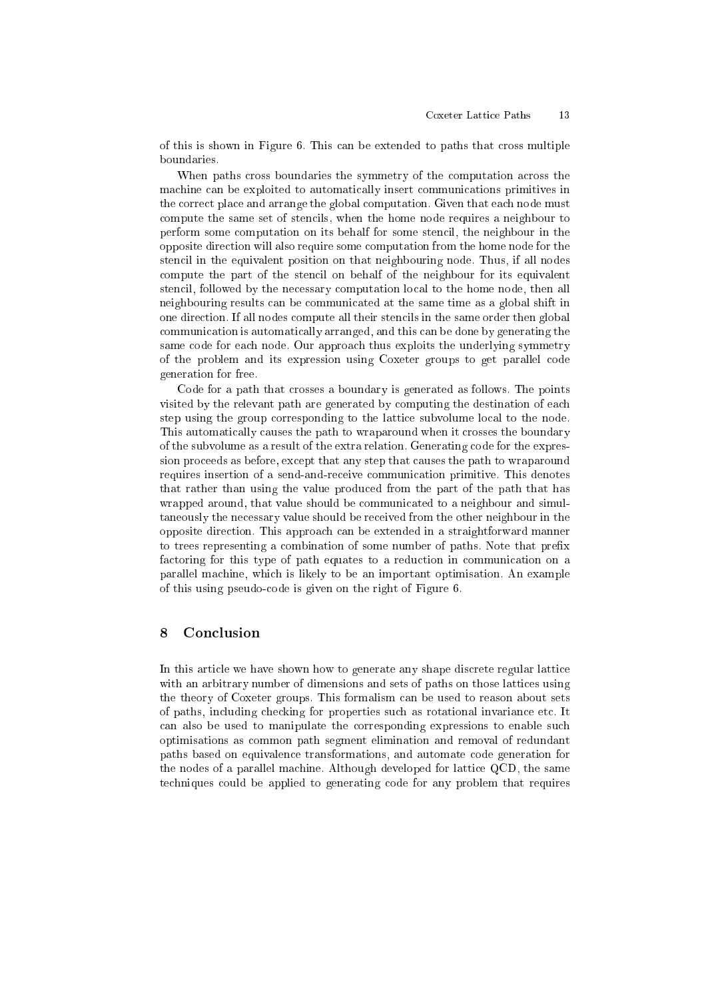of this is shown in Figure 6. This can be extended to paths that cross multiple boundaries.

When paths cross boundaries the symmetry of the computation across the ma
hine an be exploited to automati
ally insert ommuni
ations primitives in the correct place and arrange the global computation. Given that each node must ompute the same set of sten
ils, when the home node requires a neighbour to perform some omputation on its behalf for some sten
il, the neighbour in the opposite dire
tion will also require some omputation from the home node for the sten
il in the equivalent position on that neighbouring node. Thus, if all nodes ompute the part of the sten
il on behalf of the neighbour for its equivalent sten
il, followed by the ne
essary omputation lo
al to the home node, then all neighbouring results an be ommuni
ated at the same time as a global shift in one dire
tion. If all nodes ompute all their sten
ils in the same order then global communication is automatically arranged, and this can be done by generating the same code for each node. Our approach thus exploits the underlying symmetry of the problem and its expression using Coxeter groups to get parallel ode generation for free.

Code for a path that crosses a boundary is generated as follows. The points visited by the relevant path are generated by omputing the destination of ea
h step using the group orresponding to the latti
e subvolume lo
al to the node. This automatically causes the path to wraparound when it crosses the boundary of the subvolume as a result of the extra relation. Generating ode for the expression proceeds as before, except that any step that causes the path to wraparound requires insertion of a send-and-re
eive ommuni
ation primitive. This denotes that rather than using the value produ
ed from the part of the path that has wrapped around, that value should be communicated to a neighbour and simultaneously the necessary value should be received from the other neighbour in the opposite dire
tion. This approa
h an be extended in a straightforward manner to trees representing a combination of some number of paths. Note that prefix factoring for this type of path equates to a reduction in communication on a parallel ma
hine, whi
h is likely to be an important optimisation. An example of this using pseudoode is given on the right of Figure 6.

## **Conclusion** 8

In this article we have shown how to generate any shape discrete regular lattice with an arbitrary number of dimensions and sets of paths on those lattices using the theory of Coxeter groups. This formalism an be used to reason about sets of paths, in
luding he
king for properties su
h as rotational invarian
e et
. It an also be used to manipulate the orresponding expressions to enable su
h optimisations as ommon path segment elimination and removal of redundant paths based on equivalen
e transformations, and automate ode generation for the nodes of a parallel machine. Although developed for lattice QCD, the same te
hniques ould be applied to generating ode for any problem that requires